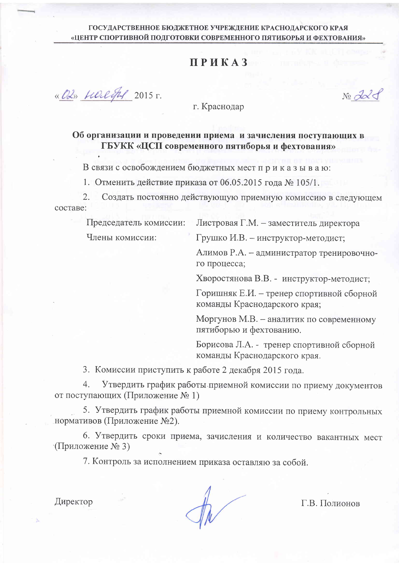#### ГОСУДАРСТВЕННОЕ БЮДЖЕТНОЕ УЧРЕЖДЕНИЕ КРАСНОДАРСКОГО КРАЯ «ЦЕНТР СПОРТИВНОЙ ПОДГОТОВКИ СОВРЕМЕННОГО ПЯТИБОРЬЯ И ФЕХТОВАНИЯ»

# **ПРИКАЗ**

« OL» Harliful 2015 r.

No dald

г. Краснодар

#### Об организации и проведении приема и зачисления поступающих в ГБУКК «ЦСП современного пятиборья и фехтования»

В связи с освобождением бюджетных мест приказываю:

1. Отменить действие приказа от 06.05.2015 года № 105/1.

 $2.$ Создать постоянно действующую приемную комиссию в следующем составе:

Председатель комиссии:

Члены комиссии:

Листровая Г.М. - заместитель директора

Грушко И.В. - инструктор-методист;

Алимов Р.А. - администратор тренировочного процесса;

Хворостянова В.В. - инструктор-методист;

Горишняк Е.И. - тренер спортивной сборной команды Краснодарского края;

Моргунов М.В. - аналитик по современному пятиборью и фехтованию.

Борисова Л.А. - тренер спортивной сборной команды Краснодарского края.

3. Комиссии приступить к работе 2 декабря 2015 года.

 $4.$ Утвердить график работы приемной комиссии по приему документов от поступающих (Приложение №1)

5. Утвердить график работы приемной комиссии по приему контрольных нормативов (Приложение №2).

6. Утвердить сроки приема, зачисления и количество вакантных мест √Приложение № 3)

7. Контроль за исполнением приказа оставляю за собой.

Директор

Г.В. Полионов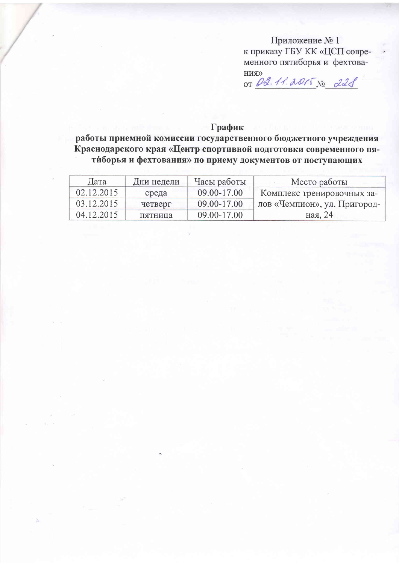Приложение №1 к приказу ГБУ КК «ЦСП современного пятиборья и фехтова-

HUA)<br>OT 02.11.2015 No 221

### График

работы приемной комиссии государственного бюджетного учреждения Краснодарского края «Центр спортивной подготовки современного пятиборья и фехтования» по приему документов от поступающих

| Дата       | Дни недели | Часы работы | Место работы                 |  |
|------------|------------|-------------|------------------------------|--|
| 02.12.2015 | среда      | 09.00-17.00 | Комплекс тренировочных за-   |  |
| 03.12.2015 | четверг    | 09.00-17.00 | лов «Чемпион», ул. Пригород- |  |
| 04.12.2015 | пятница    | 09.00-17.00 | ная, 24                      |  |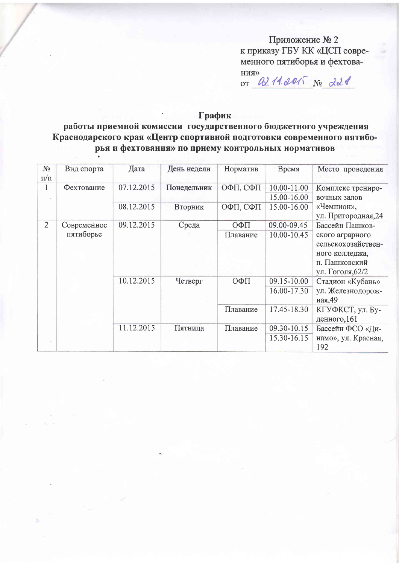Приложение № 2 к приказу ГБУ КК «ЦСП современного пятиборья и фехтова-

 $\langle$ <br>RNH OT W. 11.2015 No dold

### График

работы приемной комиссии государственного бюджетного учреждения Краснодарского края «Центр спортивной подготовки современного пятиборья и фехтования» по приему контрольных нормативов

| $N_2$<br>$\pi/\pi$ | Вид спорта               | Дата       | День недели | Норматив | Время                      | Место проведения                                                                                                |  |
|--------------------|--------------------------|------------|-------------|----------|----------------------------|-----------------------------------------------------------------------------------------------------------------|--|
|                    | Фехтование               | 07.12.2015 | Понедельник | ОФП, СФП | 10.00-11.00<br>15.00-16.00 | Комплекс трениро-<br>вочных залов                                                                               |  |
|                    |                          | 08.12.2015 | Вторник     | ОФП, СФП | 15.00-16.00                | «Чемпион»,<br>ул. Пригородная, 24                                                                               |  |
| $\overline{2}$     | Современное<br>пятиборье | 09.12.2015 | Среда       | ОФП      | 09.00-09.45                | Бассейн Пашков-<br>ского аграрного<br>сельскохозяйствен-<br>ного колледжа,<br>п. Пашковский<br>ул. Гоголя, 62/2 |  |
|                    |                          |            |             | Плавание | 10.00-10.45                |                                                                                                                 |  |
|                    |                          | 10.12.2015 | Четверг     | ОФП      | 09.15-10.00<br>16.00-17.30 | Стадион «Кубань»<br>ул. Железнодорож-<br>ная, 49                                                                |  |
|                    |                          |            |             | Плавание | 17.45-18.30                | КГУФКСТ, ул. Бу-<br>денного, 161                                                                                |  |
|                    |                          | 11.12.2015 | Пятница     | Плавание | 09.30-10.15<br>15.30-16.15 | Бассейн ФСО «Ди-<br>намо», ул. Красная,<br>192                                                                  |  |